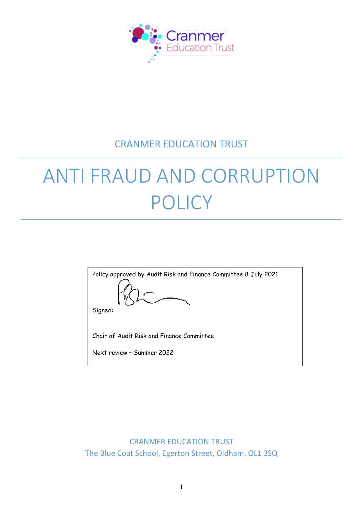

# CRANMER EDUCATION TRUST

# ANTI FRAUD AND CORRUPTION POLICY

 CRANMER EDUCATION TRUST The Blue Coat School, Egerton Street, Oldham. OL1 3SQ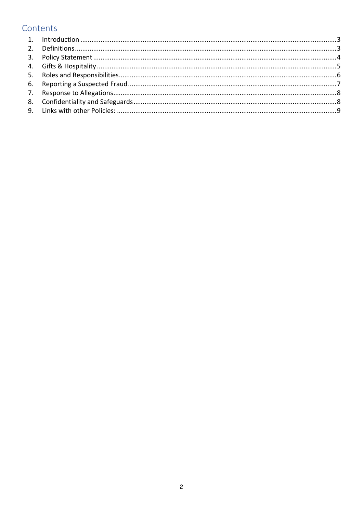# Contents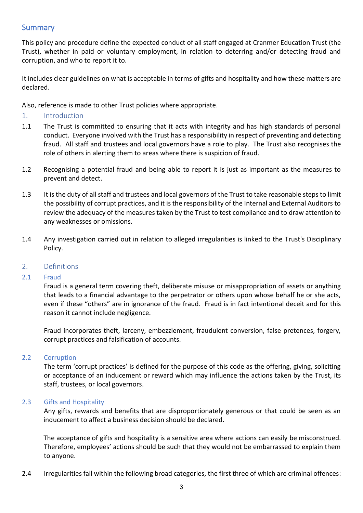# **Summary**

This policy and procedure define the expected conduct of all staff engaged at Cranmer Education Trust (the Trust), whether in paid or voluntary employment, in relation to deterring and/or detecting fraud and corruption, and who to report it to.

It includes clear guidelines on what is acceptable in terms of gifts and hospitality and how these matters are declared.

Also, reference is made to other Trust policies where appropriate.

- <span id="page-2-0"></span>1. Introduction
- 1.1 The Trust is committed to ensuring that it acts with integrity and has high standards of personal conduct. Everyone involved with the Trust has a responsibility in respect of preventing and detecting fraud. All staff and trustees and local governors have a role to play. The Trust also recognises the role of others in alerting them to areas where there is suspicion of fraud.
- 1.2 Recognising a potential fraud and being able to report it is just as important as the measures to prevent and detect.
- 1.3 It is the duty of all staff and trustees and local governors of the Trust to take reasonable steps to limit the possibility of corrupt practices, and it is the responsibility of the Internal and External Auditors to review the adequacy of the measures taken by the Trust to test compliance and to draw attention to any weaknesses or omissions.
- 1.4 Any investigation carried out in relation to alleged irregularities is linked to the Trust's Disciplinary Policy.

# <span id="page-2-1"></span>2. Definitions

# 2.1 Fraud

Fraud is a general term covering theft, deliberate misuse or misappropriation of assets or anything that leads to a financial advantage to the perpetrator or others upon whose behalf he or she acts, even if these "others" are in ignorance of the fraud. Fraud is in fact intentional deceit and for this reason it cannot include negligence.

Fraud incorporates theft, larceny, embezzlement, fraudulent conversion, false pretences, forgery, corrupt practices and falsification of accounts.

#### 2.2 Corruption

The term 'corrupt practices' is defined for the purpose of this code as the offering, giving, soliciting or acceptance of an inducement or reward which may influence the actions taken by the Trust, its staff, trustees, or local governors.

#### 2.3 Gifts and Hospitality

Any gifts, rewards and benefits that are disproportionately generous or that could be seen as an inducement to affect a business decision should be declared.

The acceptance of gifts and hospitality is a sensitive area where actions can easily be misconstrued. Therefore, employees' actions should be such that they would not be embarrassed to explain them to anyone.

2.4 Irregularities fall within the following broad categories, the first three of which are criminal offences: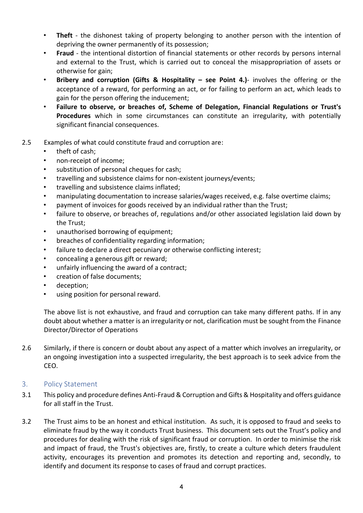- **Theft**  the dishonest taking of property belonging to another person with the intention of depriving the owner permanently of its possession;
- **Fraud**  the intentional distortion of financial statements or other records by persons internal and external to the Trust, which is carried out to conceal the misappropriation of assets or otherwise for gain;
- **Bribery and corruption (Gifts & Hospitality – see Point 4.)** involves the offering or the acceptance of a reward, for performing an act, or for failing to perform an act, which leads to gain for the person offering the inducement;
- **Failure to observe, or breaches of, Scheme of Delegation, Financial Regulations or Trust's Procedures** which in some circumstances can constitute an irregularity, with potentially significant financial consequences.
- 2.5 Examples of what could constitute fraud and corruption are:
	- theft of cash:
	- non-receipt of income;
	- substitution of personal cheques for cash;
	- travelling and subsistence claims for non-existent journeys/events;
	- travelling and subsistence claims inflated;
	- manipulating documentation to increase salaries/wages received, e.g. false overtime claims;
	- payment of invoices for goods received by an individual rather than the Trust;
	- failure to observe, or breaches of, regulations and/or other associated legislation laid down by the Trust;
	- unauthorised borrowing of equipment;
	- breaches of confidentiality regarding information;
	- failure to declare a direct pecuniary or otherwise conflicting interest;
	- concealing a generous gift or reward;
	- unfairly influencing the award of a contract;
	- creation of false documents;
	- deception;
	- using position for personal reward.

The above list is not exhaustive, and fraud and corruption can take many different paths. If in any doubt about whether a matter is an irregularity or not, clarification must be sought from the Finance Director/Director of Operations

2.6 Similarly, if there is concern or doubt about any aspect of a matter which involves an irregularity, or an ongoing investigation into a suspected irregularity, the best approach is to seek advice from the CEO.

# <span id="page-3-0"></span>3. Policy Statement

- 3.1 This policy and procedure defines Anti-Fraud & Corruption and Gifts & Hospitality and offers guidance for all staff in the Trust.
- 3.2 The Trust aims to be an honest and ethical institution. As such, it is opposed to fraud and seeks to eliminate fraud by the way it conducts Trust business. This document sets out the Trust's policy and procedures for dealing with the risk of significant fraud or corruption. In order to minimise the risk and impact of fraud, the Trust's objectives are, firstly, to create a culture which deters fraudulent activity, encourages its prevention and promotes its detection and reporting and, secondly, to identify and document its response to cases of fraud and corrupt practices.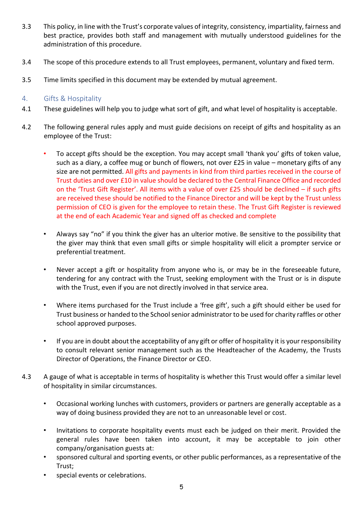- 3.3 This policy, in line with the Trust's corporate values of integrity, consistency, impartiality, fairness and best practice, provides both staff and management with mutually understood guidelines for the administration of this procedure.
- 3.4 The scope of this procedure extends to all Trust employees, permanent, voluntary and fixed term.
- 3.5 Time limits specified in this document may be extended by mutual agreement.

# <span id="page-4-0"></span>4. Gifts & Hospitality

- 4.1 These guidelines will help you to judge what sort of gift, and what level of hospitality is acceptable.
- 4.2 The following general rules apply and must guide decisions on receipt of gifts and hospitality as an employee of the Trust:
	- To accept gifts should be the exception. You may accept small 'thank you' gifts of token value, such as a diary, a coffee mug or bunch of flowers, not over £25 in value – monetary gifts of any size are not permitted. All gifts and payments in kind from third parties received in the course of Trust duties and over £10 in value should be declared to the Central Finance Office and recorded on the 'Trust Gift Register'. All items with a value of over £25 should be declined – if such gifts are received these should be notified to the Finance Director and will be kept by the Trust unless permission of CEO is given for the employee to retain these. The Trust Gift Register is reviewed at the end of each Academic Year and signed off as checked and complete
	- Always say "no" if you think the giver has an ulterior motive. Be sensitive to the possibility that the giver may think that even small gifts or simple hospitality will elicit a prompter service or preferential treatment.
	- Never accept a gift or hospitality from anyone who is, or may be in the foreseeable future, tendering for any contract with the Trust, seeking employment with the Trust or is in dispute with the Trust, even if you are not directly involved in that service area.
	- Where items purchased for the Trust include a 'free gift', such a gift should either be used for Trust business or handed to the School senior administrator to be used for charity raffles or other school approved purposes.
	- If you are in doubt about the acceptability of any gift or offer of hospitality it is your responsibility to consult relevant senior management such as the Headteacher of the Academy, the Trusts Director of Operations, the Finance Director or CEO.
- 4.3 A gauge of what is acceptable in terms of hospitality is whether this Trust would offer a similar level of hospitality in similar circumstances.
	- Occasional working lunches with customers, providers or partners are generally acceptable as a way of doing business provided they are not to an unreasonable level or cost.
	- Invitations to corporate hospitality events must each be judged on their merit. Provided the general rules have been taken into account, it may be acceptable to join other company/organisation guests at:
	- sponsored cultural and sporting events, or other public performances, as a representative of the Trust;
	- special events or celebrations.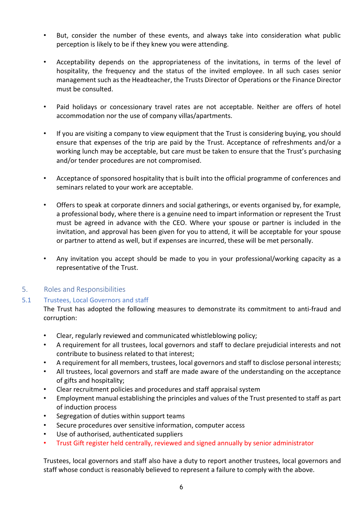- But, consider the number of these events, and always take into consideration what public perception is likely to be if they knew you were attending.
- Acceptability depends on the appropriateness of the invitations, in terms of the level of hospitality, the frequency and the status of the invited employee. In all such cases senior management such as the Headteacher, the Trusts Director of Operations or the Finance Director must be consulted.
- Paid holidays or concessionary travel rates are not acceptable. Neither are offers of hotel accommodation nor the use of company villas/apartments.
- If you are visiting a company to view equipment that the Trust is considering buying, you should ensure that expenses of the trip are paid by the Trust. Acceptance of refreshments and/or a working lunch may be acceptable, but care must be taken to ensure that the Trust's purchasing and/or tender procedures are not compromised.
- Acceptance of sponsored hospitality that is built into the official programme of conferences and seminars related to your work are acceptable.
- Offers to speak at corporate dinners and social gatherings, or events organised by, for example, a professional body, where there is a genuine need to impart information or represent the Trust must be agreed in advance with the CEO. Where your spouse or partner is included in the invitation, and approval has been given for you to attend, it will be acceptable for your spouse or partner to attend as well, but if expenses are incurred, these will be met personally.
- Any invitation you accept should be made to you in your professional/working capacity as a representative of the Trust.

# <span id="page-5-0"></span>5. Roles and Responsibilities

#### 5.1 Trustees, Local Governors and staff

The Trust has adopted the following measures to demonstrate its commitment to anti-fraud and corruption:

- Clear, regularly reviewed and communicated whistleblowing policy;
- A requirement for all trustees, local governors and staff to declare prejudicial interests and not contribute to business related to that interest;
- A requirement for all members, trustees, local governors and staff to disclose personal interests;
- All trustees, local governors and staff are made aware of the understanding on the acceptance of gifts and hospitality;
- Clear recruitment policies and procedures and staff appraisal system
- Employment manual establishing the principles and values of the Trust presented to staff as part of induction process
- Segregation of duties within support teams
- Secure procedures over sensitive information, computer access
- Use of authorised, authenticated suppliers
- Trust Gift register held centrally, reviewed and signed annually by senior administrator

Trustees, local governors and staff also have a duty to report another trustees, local governors and staff whose conduct is reasonably believed to represent a failure to comply with the above.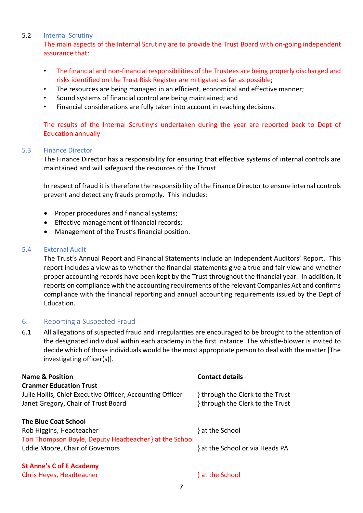#### 5.2 Internal Scrutiny

The main aspects of the Internal Scrutiny are to provide the Trust Board with on-going independent assurance that:

- The financial and non-financial responsibilities of the Trustees are being properly discharged and risks identified on the Trust Risk Register are mitigated as far as possible;
- The resources are being managed in an efficient, economical and effective manner;
- Sound systems of financial control are being maintained; and
- Financial considerations are fully taken into account in reaching decisions.

The results of the Internal Scrutiny's undertaken during the year are reported back to Dept of Education annually

#### 5.3 Finance Director

The Finance Director has a responsibility for ensuring that effective systems of internal controls are maintained and will safeguard the resources of the Thrust

In respect of fraud it is therefore the responsibility of the Finance Director to ensure internal controls prevent and detect any frauds promptly. This includes:

- Proper procedures and financial systems;
- Effective management of financial records;
- Management of the Trust's financial position.

#### 5.4 External Audit

The Trust's Annual Report and Financial Statements include an Independent Auditors' Report. This report includes a view as to whether the financial statements give a true and fair view and whether proper accounting records have been kept by the Trust throughout the financial year. In addition, it reports on compliance with the accounting requirements of the relevant Companies Act and confirms compliance with the financial reporting and annual accounting requirements issued by the Dept of Education.

#### <span id="page-6-0"></span>6. Reporting a Suspected Fraud

6.1 All allegations of suspected fraud and irregularities are encouraged to be brought to the attention of the designated individual within each academy in the first instance. The whistle-blower is invited to decide which of those individuals would be the most appropriate person to deal with the matter [The investigating officer(s)].

| <b>Name &amp; Position</b>                                | <b>Contact details</b>           |  |  |  |
|-----------------------------------------------------------|----------------------------------|--|--|--|
| <b>Cranmer Education Trust</b>                            |                                  |  |  |  |
| Julie Hollis, Chief Executive Officer, Accounting Officer | through the Clerk to the Trust   |  |  |  |
| Janet Gregory, Chair of Trust Board                       | } through the Clerk to the Trust |  |  |  |
| <b>The Blue Coat School</b>                               |                                  |  |  |  |
| Rob Higgins, Headteacher                                  | } at the School                  |  |  |  |
| Tori Thompson Boyle, Deputy Headteacher } at the School   |                                  |  |  |  |
| Eddie Moore, Chair of Governors                           | } at the School or via Heads PA  |  |  |  |
| <b>St Anne's C of E Academy</b>                           |                                  |  |  |  |

Chris Heyes, Headteacher } at the School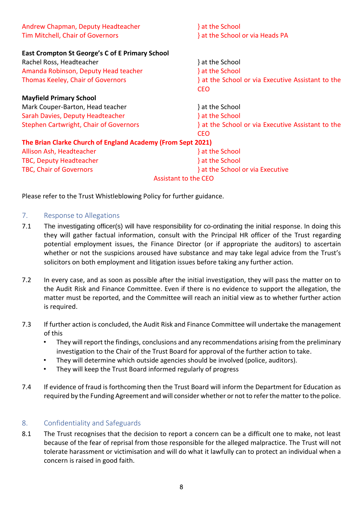| Andrew Chapman, Deputy Headteacher                          | } at the School                                 |  |  |  |
|-------------------------------------------------------------|-------------------------------------------------|--|--|--|
| <b>Tim Mitchell, Chair of Governors</b>                     | } at the School or via Heads PA                 |  |  |  |
|                                                             |                                                 |  |  |  |
| East Crompton St George's C of E Primary School             |                                                 |  |  |  |
| Rachel Ross, Headteacher                                    | } at the School                                 |  |  |  |
| Amanda Robinson, Deputy Head teacher                        | } at the School                                 |  |  |  |
| <b>Thomas Keeley, Chair of Governors</b>                    | at the School or via Executive Assistant to the |  |  |  |
|                                                             | <b>CEO</b>                                      |  |  |  |
| <b>Mayfield Primary School</b>                              |                                                 |  |  |  |
| Mark Couper-Barton, Head teacher                            | } at the School                                 |  |  |  |
| Sarah Davies, Deputy Headteacher                            | } at the School                                 |  |  |  |
| Stephen Cartwright, Chair of Governors                      | at the School or via Executive Assistant to the |  |  |  |
|                                                             | CEO.                                            |  |  |  |
| The Brian Clarke Church of England Academy (From Sept 2021) |                                                 |  |  |  |
| Allison Ash, Headteacher                                    | } at the School                                 |  |  |  |
| <b>TBC, Deputy Headteacher</b>                              | } at the School                                 |  |  |  |
| <b>TBC, Chair of Governors</b>                              | } at the School or via Executive                |  |  |  |
| <b>Assistant to the CEO</b>                                 |                                                 |  |  |  |

Please refer to the Trust Whistleblowing Policy for further guidance.

#### <span id="page-7-0"></span>7. Response to Allegations

- 7.1 The investigating officer(s) will have responsibility for co-ordinating the initial response. In doing this they will gather factual information, consult with the Principal HR officer of the Trust regarding potential employment issues, the Finance Director (or if appropriate the auditors) to ascertain whether or not the suspicions aroused have substance and may take legal advice from the Trust's solicitors on both employment and litigation issues before taking any further action.
- 7.2 In every case, and as soon as possible after the initial investigation, they will pass the matter on to the Audit Risk and Finance Committee. Even if there is no evidence to support the allegation, the matter must be reported, and the Committee will reach an initial view as to whether further action is required.
- 7.3 If further action is concluded, the Audit Risk and Finance Committee will undertake the management of this
	- They will report the findings, conclusions and any recommendations arising from the preliminary investigation to the Chair of the Trust Board for approval of the further action to take.
	- They will determine which outside agencies should be involved (police, auditors).
	- They will keep the Trust Board informed regularly of progress
- 7.4 If evidence of fraud is forthcoming then the Trust Board will inform the Department for Education as required by the Funding Agreement and will consider whether or not to refer the matter to the police.

# <span id="page-7-1"></span>8. Confidentiality and Safeguards

8.1 The Trust recognises that the decision to report a concern can be a difficult one to make, not least because of the fear of reprisal from those responsible for the alleged malpractice. The Trust will not tolerate harassment or victimisation and will do what it lawfully can to protect an individual when a concern is raised in good faith.